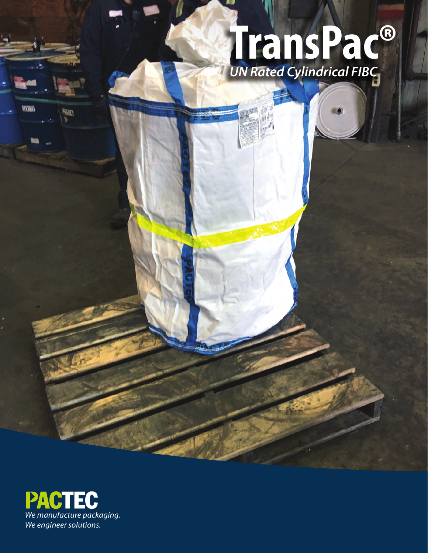# *UN Rated Cylindrical FIBC* **TransPac®**

NASIE



**MAD** 

WALL x